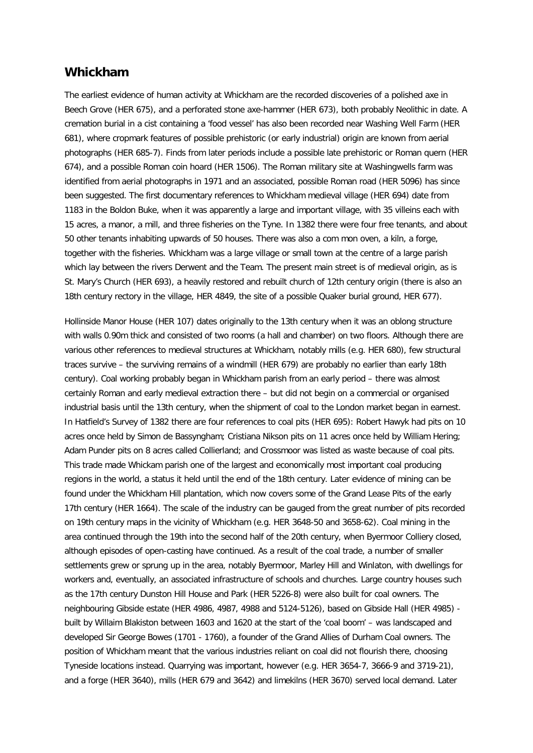## **Whickham**

The earliest evidence of human activity at Whickham are the recorded discoveries of a polished axe in Beech Grove (HER 675), and a perforated stone axe-hammer (HER 673), both probably Neolithic in date. A cremation burial in a cist containing a 'food vessel' has also been recorded near Washing Well Farm (HER 681), where cropmark features of possible prehistoric (or early industrial) origin are known from aerial photographs (HER 685-7). Finds from later periods include a possible late prehistoric or Roman quern (HER 674), and a possible Roman coin hoard (HER 1506). The Roman military site at Washingwells farm was identified from aerial photographs in 1971 and an associated, possible Roman road (HER 5096) has since been suggested. The first documentary references to Whickham medieval village (HER 694) date from 1183 in the Boldon Buke, when it was apparently a large and important village, with 35 villeins each with 15 acres, a manor, a mill, and three fisheries on the Tyne. In 1382 there were four free tenants, and about 50 other tenants inhabiting upwards of 50 houses. There was also a com mon oven, a kiln, a forge, together with the fisheries. Whickham was a large village or small town at the centre of a large parish which lay between the rivers Derwent and the Team. The present main street is of medieval origin, as is St. Mary's Church (HER 693), a heavily restored and rebuilt church of 12th century origin (there is also an 18th century rectory in the village, HER 4849, the site of a possible Quaker burial ground, HER 677).

Hollinside Manor House (HER 107) dates originally to the 13th century when it was an oblong structure with walls 0.90m thick and consisted of two rooms (a hall and chamber) on two floors. Although there are various other references to medieval structures at Whickham, notably mills (e.g. HER 680), few structural traces survive – the surviving remains of a windmill (HER 679) are probably no earlier than early 18th century). Coal working probably began in Whickham parish from an early period – there was almost certainly Roman and early medieval extraction there – but did not begin on a commercial or organised industrial basis until the 13th century, when the shipment of coal to the London market began in earnest. In Hatfield's Survey of 1382 there are four references to coal pits (HER 695): Robert Hawyk had pits on 10 acres once held by Simon de Bassyngham; Cristiana Nikson pits on 11 acres once held by William Hering; Adam Punder pits on 8 acres called Collierland; and Crossmoor was listed as waste because of coal pits. This trade made Whickam parish one of the largest and economically most important coal producing regions in the world, a status it held until the end of the 18th century. Later evidence of mining can be found under the Whickham Hill plantation, which now covers some of the Grand Lease Pits of the early 17th century (HER 1664). The scale of the industry can be gauged from the great number of pits recorded on 19th century maps in the vicinity of Whickham (e.g. HER 3648-50 and 3658-62). Coal mining in the area continued through the 19th into the second half of the 20th century, when Byermoor Colliery closed, although episodes of open-casting have continued. As a result of the coal trade, a number of smaller settlements grew or sprung up in the area, notably Byermoor, Marley Hill and Winlaton, with dwellings for workers and, eventually, an associated infrastructure of schools and churches. Large country houses such as the 17th century Dunston Hill House and Park (HER 5226-8) were also built for coal owners. The neighbouring Gibside estate (HER 4986, 4987, 4988 and 5124-5126), based on Gibside Hall (HER 4985) built by Willaim Blakiston between 1603 and 1620 at the start of the 'coal boom' – was landscaped and developed Sir George Bowes (1701 - 1760), a founder of the Grand Allies of Durham Coal owners. The position of Whickham meant that the various industries reliant on coal did not flourish there, choosing Tyneside locations instead. Quarrying was important, however (e.g. HER 3654-7, 3666-9 and 3719-21), and a forge (HER 3640), mills (HER 679 and 3642) and limekilns (HER 3670) served local demand. Later